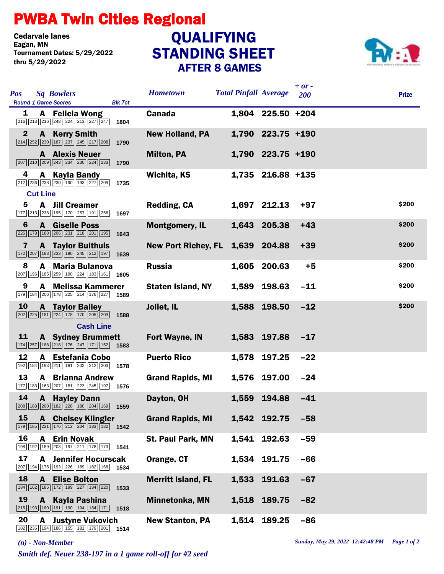## PWBA Twin Cities Regional

Cedarvale lanes<br>Eagan, MN Tournament Dates: 5/29/2022 thru 5/29/2022

## STANDING SHEET AFTER 8 GAMES **QUALIFYING**



| <b>Sq Bowlers</b><br><b>Pos</b>                                                                                                                                | <b>Hometown</b>            | <b>Total Pinfall Average</b> |                   | $+ or -$<br>200 | <b>Prize</b> |
|----------------------------------------------------------------------------------------------------------------------------------------------------------------|----------------------------|------------------------------|-------------------|-----------------|--------------|
| <b>Round 1 Game Scores</b><br><b>Blk Tot</b>                                                                                                                   |                            |                              |                   |                 |              |
| <b>A</b> Felicia Wong<br>1<br>$\boxed{216}\boxed{213}\boxed{216}\boxed{248}\boxed{224}\boxed{213}\boxed{227}\boxed{247}$<br>1804                               | <b>Canada</b>              |                              | 1,804 225.50 +204 |                 |              |
| $\mathbf{2}$<br><b>A</b> Kerry Smith<br>$\boxed{214}\ \boxed{252}\ \boxed{230}\ \boxed{187}\ \boxed{237}\ \boxed{245}\ \boxed{217}\ \boxed{208}$<br>1790       | <b>New Holland, PA</b>     |                              | 1,790 223.75 +190 |                 |              |
| <b>A</b> Alexis Neuer<br>$\boxed{207}$ $\boxed{210}$ $\boxed{209}$ $\boxed{243}$ $\boxed{234}$ $\boxed{230}$ $\boxed{224}$ $\boxed{233}$ <b>1790</b>           | <b>Milton, PA</b>          |                              | 1,790 223.75 +190 |                 |              |
| 4<br>A Kayla Bandy<br>$\boxed{212}$ $\boxed{236}$ $\boxed{238}$ $\boxed{230}$ $\boxed{190}$ $\boxed{193}$ $\boxed{227}$ $\boxed{209}$<br>1735                  | Wichita, KS                |                              | 1,735 216.88 +135 |                 |              |
| <b>Cut Line</b>                                                                                                                                                |                            |                              |                   |                 |              |
| 5<br><b>A</b> Jill Creamer<br>177 213 238 195 170 257 191 256<br>1697                                                                                          | Redding, CA                |                              | 1,697 212.13      | $+97$           | \$200        |
| 6<br>A Giselle Poss<br>226 178 188 206 231 218 201 195<br>1643                                                                                                 | <b>Montgomery, IL</b>      |                              | 1,643 205.38      | $+43$           | \$200        |
| <b>A</b> Taylor Bulthuis<br>7<br>$\boxed{172}$ $\boxed{207}$ $\boxed{183}$ $\boxed{233}$ $\boxed{190}$ $\boxed{245}$ $\boxed{212}$ $\boxed{197}$ <b>1639</b>   | <b>New Port Richey, FL</b> |                              | 1,639 204.88      | $+39$           | \$200        |
| <b>Maria Bulanova</b><br>8<br>A<br>207 196 185 259 190 224 183 161 1605                                                                                        | <b>Russia</b>              |                              | 1,605 200.63      | $+5$            | \$200        |
| 9<br>A Melissa Kammerer<br>$\boxed{179}$ $\boxed{184}$ $\boxed{206}$ $\boxed{178}$ $\boxed{225}$ $\boxed{214}$ $\boxed{176}$ $\boxed{227}$ <b>1589</b>         | <b>Staten Island, NY</b>   |                              | 1,589 198.63      | $-11$           | \$200        |
| 10<br><b>A</b> Taylor Bailey<br>$\boxed{202}\boxed{225}\boxed{181}\boxed{224}\boxed{178}\boxed{170}\boxed{205}\boxed{203}$ 1588                                | Joliet, IL                 |                              | 1,588 198.50      | $-12$           | \$200        |
| <b>Cash Line</b>                                                                                                                                               |                            |                              |                   |                 |              |
| 11<br><b>A</b> Sydney Brummett<br>$\boxed{174}\boxed{257}\boxed{188}\boxed{218}\boxed{176}\boxed{247}\boxed{171}\boxed{152}$ 1583                              | Fort Wayne, IN             |                              | 1,583 197.88      | $-17$           |              |
| 12<br>A Estefania Cobo<br>192 184 193 211 181 202 212 203 1578                                                                                                 | <b>Puerto Rico</b>         |                              | 1,578 197.25      | $-22$           |              |
| 13<br>A<br><b>Brianna Andrew</b><br>177 183 163 207 181 223 245 197 1576                                                                                       | <b>Grand Rapids, MI</b>    |                              | 1,576 197.00      | $-24$           |              |
| 14<br><b>A</b> Hayley Dann<br>208 188 200 182 228 180 204 169 1559                                                                                             | Dayton, OH                 | 1,559                        | 194.88            | $-41$           |              |
| 15<br><b>A</b> Chelsey Klingler<br>$\boxed{179}$ $\boxed{185}$ $\boxed{221}$ $\boxed{176}$ $\boxed{212}$ $\boxed{204}$ $\boxed{183}$ $\boxed{182}$ <b>1542</b> | <b>Grand Rapids, MI</b>    |                              | 1,542 192.75      | $-58$           |              |
| 16<br><b>Erin Novak</b><br>A<br>198 192 189 203 197 211 178 173 1541                                                                                           | <b>St. Paul Park, MN</b>   |                              | 1,541 192.63      | $-59$           |              |
| 17<br><b>Jennifer Hocurscak</b><br>A<br>207 194 175 193 226 189 182 168<br>1534                                                                                | Orange, CT                 |                              | 1,534 191.75      | $-66$           |              |
| 18<br><b>A</b> Elise Bolton<br>184 162 185 172 199 227 184 220<br>1533                                                                                         | <b>Merritt Island, FL</b>  | 1,533                        | 191.63            | $-67$           |              |
| 19<br>A Kayla Pashina<br>215 193 180 191 190 194 184 171<br>1518                                                                                               | Minnetonka, MN             |                              | 1,518 189.75      | $-82$           |              |
| 20<br><b>Justyne Vukovich</b><br>A<br>182 236 194 186 155 181 179 201 1514                                                                                     | <b>New Stanton, PA</b>     |                              | 1,514 189.25      | $-86$           |              |

*Smith def. Neuer 238-197 in a 1 game roll-off for #2 seed*